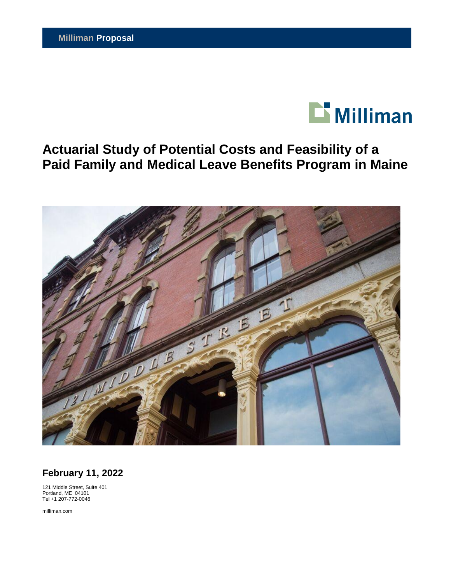

# **Actuarial Study of Potential Costs and Feasibility of a Paid Family and Medical Leave Benefits Program in Maine**



**February 11, 2022**

121 Middle Street, Suite 401 Portland, ME 04101 Tel +1 207-772-0046

milliman.com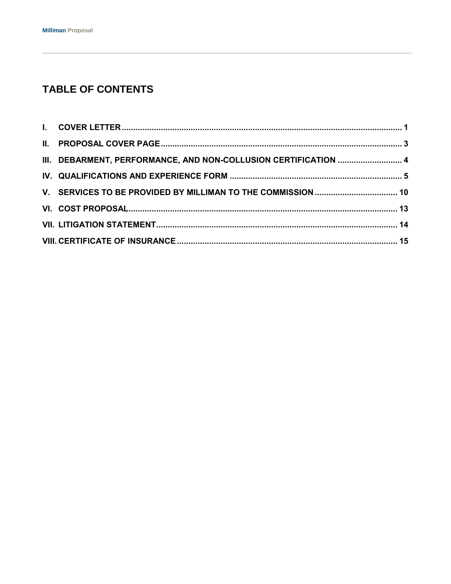## **TABLE OF CONTENTS**

| III. DEBARMENT, PERFORMANCE, AND NON-COLLUSION CERTIFICATION  4 |  |
|-----------------------------------------------------------------|--|
|                                                                 |  |
|                                                                 |  |
|                                                                 |  |
|                                                                 |  |
|                                                                 |  |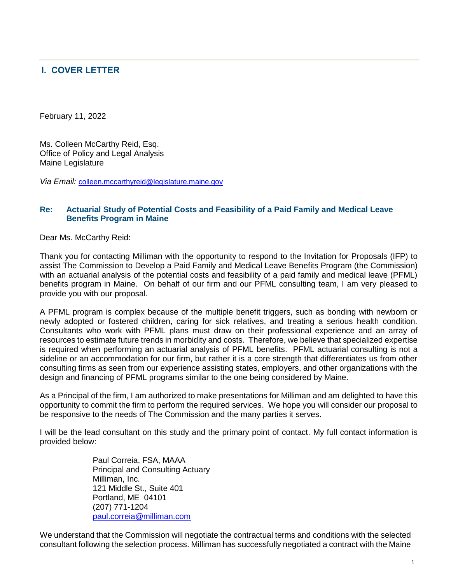## <span id="page-2-0"></span>**I. COVER LETTER**

February 11, 2022

Ms. Colleen McCarthy Reid, Esq. Office of Policy and Legal Analysis Maine Legislature

Via Email: [colleen.mccarthyreid@legislature.maine.gov](mailto:colleen.mccarthyreid@legislature.maine.gov)

#### **Re: Actuarial Study of Potential Costs and Feasibility of a Paid Family and Medical Leave Benefits Program in Maine**

Dear Ms. McCarthy Reid:

Thank you for contacting Milliman with the opportunity to respond to the Invitation for Proposals (IFP) to assist The Commission to Develop a Paid Family and Medical Leave Benefits Program (the Commission) with an actuarial analysis of the potential costs and feasibility of a paid family and medical leave (PFML) benefits program in Maine. On behalf of our firm and our PFML consulting team, I am very pleased to provide you with our proposal.

A PFML program is complex because of the multiple benefit triggers, such as bonding with newborn or newly adopted or fostered children, caring for sick relatives, and treating a serious health condition. Consultants who work with PFML plans must draw on their professional experience and an array of resources to estimate future trends in morbidity and costs. Therefore, we believe that specialized expertise is required when performing an actuarial analysis of PFML benefits. PFML actuarial consulting is not a sideline or an accommodation for our firm, but rather it is a core strength that differentiates us from other consulting firms as seen from our experience assisting states, employers, and other organizations with the design and financing of PFML programs similar to the one being considered by Maine.

As a Principal of the firm, I am authorized to make presentations for Milliman and am delighted to have this opportunity to commit the firm to perform the required services. We hope you will consider our proposal to be responsive to the needs of The Commission and the many parties it serves.

I will be the lead consultant on this study and the primary point of contact. My full contact information is provided below:

> Paul Correia, FSA, MAAA Principal and Consulting Actuary Milliman, Inc. 121 Middle St., Suite 401 Portland, ME 04101 (207) 771-1204 [paul.correia@milliman.com](mailto:paul.correia@milliman.com)

We understand that the Commission will negotiate the contractual terms and conditions with the selected consultant following the selection process. Milliman has successfully negotiated a contract with the Maine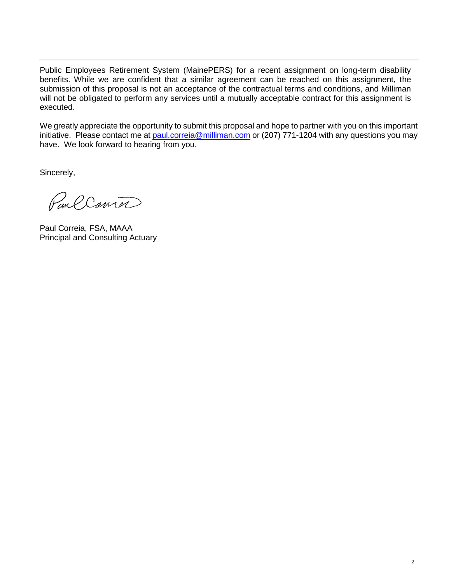Public Employees Retirement System (MainePERS) for a recent assignment on long-term disability benefits. While we are confident that a similar agreement can be reached on this assignment, the submission of this proposal is not an acceptance of the contractual terms and conditions, and Milliman will not be obligated to perform any services until a mutually acceptable contract for this assignment is executed.

We greatly appreciate the opportunity to submit this proposal and hope to partner with you on this important initiative. Please contact me at [paul.correia@milliman.com](mailto:paul.correia@milliman.com) or (207) 771-1204 with any questions you may have. We look forward to hearing from you.

Sincerely,

Paul Conter

Paul Correia, FSA, MAAA Principal and Consulting Actuary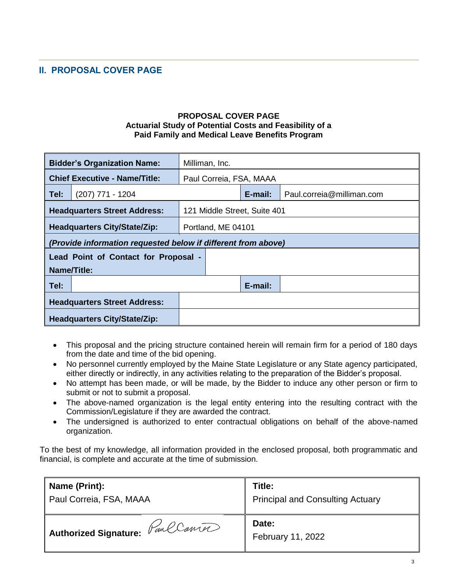## <span id="page-4-0"></span>**II. PROPOSAL COVER PAGE**

#### **PROPOSAL COVER PAGE Actuarial Study of Potential Costs and Feasibility of a Paid Family and Medical Leave Benefits Program**

| <b>Bidder's Organization Name:</b>                            |                    |  | Milliman, Inc.               |                         |                           |
|---------------------------------------------------------------|--------------------|--|------------------------------|-------------------------|---------------------------|
| <b>Chief Executive - Name/Title:</b>                          |                    |  |                              | Paul Correia, FSA, MAAA |                           |
| Tel:                                                          | $(207)$ 771 - 1204 |  |                              | $E$ -mail:              | Paul.correia@milliman.com |
| <b>Headquarters Street Address:</b>                           |                    |  | 121 Middle Street, Suite 401 |                         |                           |
| <b>Headquarters City/State/Zip:</b>                           |                    |  | Portland, ME 04101           |                         |                           |
| (Provide information requested below if different from above) |                    |  |                              |                         |                           |
| Lead Point of Contact for Proposal -                          |                    |  |                              |                         |                           |
| Name/Title:                                                   |                    |  |                              |                         |                           |
| Tel:                                                          |                    |  |                              | E-mail:                 |                           |
| <b>Headquarters Street Address:</b>                           |                    |  |                              |                         |                           |
| <b>Headquarters City/State/Zip:</b>                           |                    |  |                              |                         |                           |

- This proposal and the pricing structure contained herein will remain firm for a period of 180 days from the date and time of the bid opening.
- No personnel currently employed by the Maine State Legislature or any State agency participated, either directly or indirectly, in any activities relating to the preparation of the Bidder's proposal.
- No attempt has been made, or will be made, by the Bidder to induce any other person or firm to submit or not to submit a proposal.
- The above-named organization is the legal entity entering into the resulting contract with the Commission/Legislature if they are awarded the contract.
- The undersigned is authorized to enter contractual obligations on behalf of the above-named organization.

To the best of my knowledge, all information provided in the enclosed proposal, both programmatic and financial, is complete and accurate at the time of submission.

| Name (Print):                      | Title:                                  |
|------------------------------------|-----------------------------------------|
| Paul Correia, FSA, MAAA            | <b>Principal and Consulting Actuary</b> |
|                                    | Date:                                   |
| ' Authorized Signature: FancConter | February 11, 2022                       |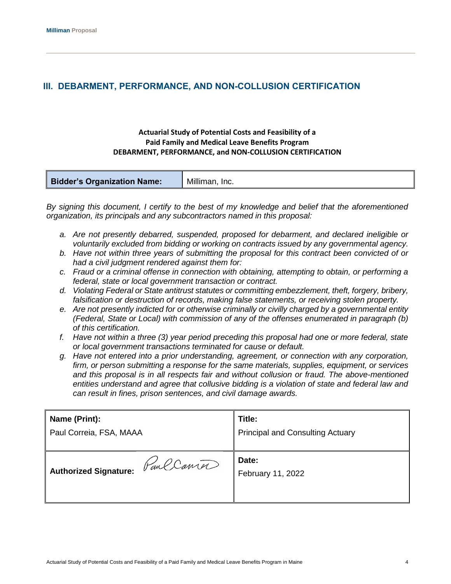## <span id="page-5-0"></span>**III. DEBARMENT, PERFORMANCE, AND NON-COLLUSION CERTIFICATION**

#### **Actuarial Study of Potential Costs and Feasibility of a Paid Family and Medical Leave Benefits Program DEBARMENT, PERFORMANCE, and NON-COLLUSION CERTIFICATION**

|  | <b>Bidder's Organization Name:</b> | Milliman, Inc. |
|--|------------------------------------|----------------|
|--|------------------------------------|----------------|

*By signing this document, I certify to the best of my knowledge and belief that the aforementioned organization, its principals and any subcontractors named in this proposal:*

- *a. Are not presently debarred, suspended, proposed for debarment, and declared ineligible or voluntarily excluded from bidding or working on contracts issued by any governmental agency.*
- *b. Have not within three years of submitting the proposal for this contract been convicted of or had a civil judgment rendered against them for:*
- *c. Fraud or a criminal offense in connection with obtaining, attempting to obtain, or performing a federal, state or local government transaction or contract.*
- *d. Violating Federal or State antitrust statutes or committing embezzlement, theft, forgery, bribery, falsification or destruction of records, making false statements, or receiving stolen property.*
- *e. Are not presently indicted for or otherwise criminally or civilly charged by a governmental entity (Federal, State or Local) with commission of any of the offenses enumerated in paragraph (b) of this certification.*
- *f. Have not within a three (3) year period preceding this proposal had one or more federal, state or local government transactions terminated for cause or default.*
- *g. Have not entered into a prior understanding, agreement, or connection with any corporation, firm, or person submitting a response for the same materials, supplies, equipment, or services and this proposal is in all respects fair and without collusion or fraud. The above-mentioned entities understand and agree that collusive bidding is a violation of state and federal law and can result in fines, prison sentences, and civil damage awards.*

| Name (Print):                | Title:                                  |
|------------------------------|-----------------------------------------|
| Paul Correia, FSA, MAAA      | <b>Principal and Consulting Actuary</b> |
| Paul Conter                  | Date:                                   |
| <b>Authorized Signature:</b> | February 11, 2022                       |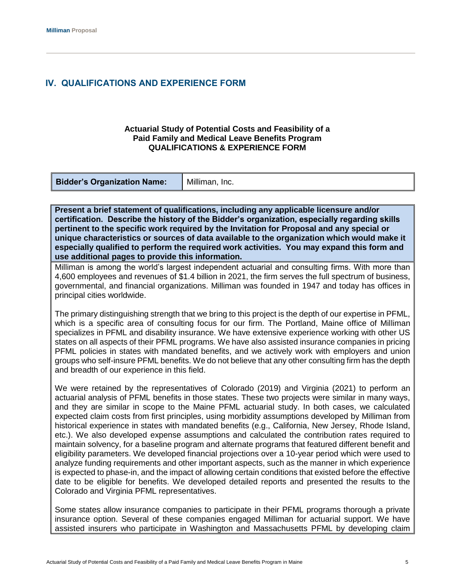### <span id="page-6-0"></span>**IV. QUALIFICATIONS AND EXPERIENCE FORM**

#### **Actuarial Study of Potential Costs and Feasibility of a Paid Family and Medical Leave Benefits Program QUALIFICATIONS & EXPERIENCE FORM**

| <b>Bidder's Organization Name:</b> | Milliman, Inc. |
|------------------------------------|----------------|
|------------------------------------|----------------|

**Present a brief statement of qualifications, including any applicable licensure and/or certification. Describe the history of the Bidder's organization, especially regarding skills pertinent to the specific work required by the Invitation for Proposal and any special or unique characteristics or sources of data available to the organization which would make it especially qualified to perform the required work activities. You may expand this form and use additional pages to provide this information.**

Milliman is among the world's largest independent actuarial and consulting firms. With more than 4,600 employees and revenues of \$1.4 billion in 2021, the firm serves the full spectrum of business, governmental, and financial organizations. Milliman was founded in 1947 and today has offices in principal cities worldwide.

The primary distinguishing strength that we bring to this project is the depth of our expertise in PFML, which is a specific area of consulting focus for our firm. The Portland, Maine office of Milliman specializes in PFML and disability insurance. We have extensive experience working with other US states on all aspects of their PFML programs. We have also assisted insurance companies in pricing PFML policies in states with mandated benefits, and we actively work with employers and union groups who self-insure PFML benefits. We do not believe that any other consulting firm has the depth and breadth of our experience in this field.

We were retained by the representatives of Colorado (2019) and Virginia (2021) to perform an actuarial analysis of PFML benefits in those states. These two projects were similar in many ways, and they are similar in scope to the Maine PFML actuarial study. In both cases, we calculated expected claim costs from first principles, using morbidity assumptions developed by Milliman from historical experience in states with mandated benefits (e.g., California, New Jersey, Rhode Island, etc.). We also developed expense assumptions and calculated the contribution rates required to maintain solvency, for a baseline program and alternate programs that featured different benefit and eligibility parameters. We developed financial projections over a 10-year period which were used to analyze funding requirements and other important aspects, such as the manner in which experience is expected to phase-in, and the impact of allowing certain conditions that existed before the effective date to be eligible for benefits. We developed detailed reports and presented the results to the Colorado and Virginia PFML representatives.

Some states allow insurance companies to participate in their PFML programs thorough a private insurance option. Several of these companies engaged Milliman for actuarial support. We have assisted insurers who participate in Washington and Massachusetts PFML by developing claim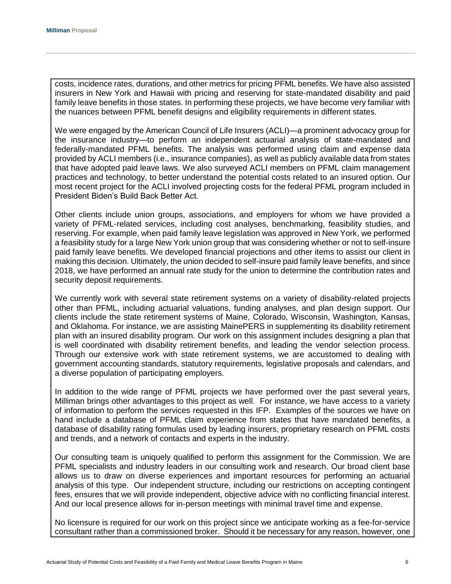costs, incidence rates, durations, and other metrics for pricing PFML benefits. We have also assisted insurers in New York and Hawaii with pricing and reserving for state-mandated disability and paid family leave benefits in those states. In performing these projects, we have become very familiar with the nuances between PFML benefit designs and eligibility requirements in different states.

We were engaged by the American Council of Life Insurers (ACLI)—a prominent advocacy group for the insurance industry—to perform an independent actuarial analysis of state-mandated and federally-mandated PFML benefits. The analysis was performed using claim and expense data provided by ACLI members (i.e., insurance companies), as well as publicly available data from states that have adopted paid leave laws. We also surveyed ACLI members on PFML claim management practices and technology, to better understand the potential costs related to an insured option. Our most recent project for the ACLI involved projecting costs for the federal PFML program included in President Biden's Build Back Better Act.

Other clients include union groups, associations, and employers for whom we have provided a variety of PFML-related services, including cost analyses, benchmarking, feasibility studies, and reserving. For example, when paid family leave legislation was approved in New York, we performed a feasibility study for a large New York union group that was considering whether or not to self-insure paid family leave benefits. We developed financial projections and other items to assist our client in making this decision. Ultimately, the union decided to self-insure paid family leave benefits, and since 2018, we have performed an annual rate study for the union to determine the contribution rates and security deposit requirements.

We currently work with several state retirement systems on a variety of disability-related projects other than PFML, including actuarial valuations, funding analyses, and plan design support. Our clients include the state retirement systems of Maine, Colorado, Wisconsin, Washington, Kansas, and Oklahoma. For instance, we are assisting MainePERS in supplementing its disability retirement plan with an insured disability program. Our work on this assignment includes designing a plan that is well coordinated with disability retirement benefits, and leading the vendor selection process. Through our extensive work with state retirement systems, we are accustomed to dealing with government accounting standards, statutory requirements, legislative proposals and calendars, and a diverse population of participating employers.

In addition to the wide range of PFML projects we have performed over the past several years, Milliman brings other advantages to this project as well. For instance, we have access to a variety of information to perform the services requested in this IFP. Examples of the sources we have on hand include a database of PFML claim experience from states that have mandated benefits, a database of disability rating formulas used by leading insurers, proprietary research on PFML costs and trends, and a network of contacts and experts in the industry.

Our consulting team is uniquely qualified to perform this assignment for the Commission. We are PFML specialists and industry leaders in our consulting work and research. Our broad client base allows us to draw on diverse experiences and important resources for performing an actuarial analysis of this type. Our independent structure, including our restrictions on accepting contingent fees, ensures that we will provide independent, objective advice with no conflicting financial interest. And our local presence allows for in-person meetings with minimal travel time and expense.

No licensure is required for our work on this project since we anticipate working as a fee-for-service consultant rather than a commissioned broker. Should it be necessary for any reason, however, one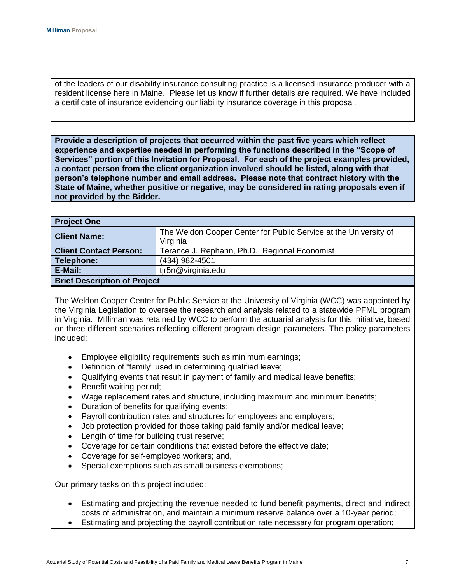of the leaders of our disability insurance consulting practice is a licensed insurance producer with a resident license here in Maine. Please let us know if further details are required. We have included a certificate of insurance evidencing our liability insurance coverage in this proposal.

**Provide a description of projects that occurred within the past five years which reflect experience and expertise needed in performing the functions described in the "Scope of Services" portion of this Invitation for Proposal. For each of the project examples provided, a contact person from the client organization involved should be listed, along with that person's telephone number and email address. Please note that contract history with the State of Maine, whether positive or negative, may be considered in rating proposals even if not provided by the Bidder.**

| <b>Project One</b>                                     |                                                                                                   |  |  |
|--------------------------------------------------------|---------------------------------------------------------------------------------------------------|--|--|
| <b>Client Name:</b>                                    | The Weldon Cooper Center for Public Service at the University of                                  |  |  |
|                                                        |                                                                                                   |  |  |
|                                                        |                                                                                                   |  |  |
|                                                        |                                                                                                   |  |  |
|                                                        |                                                                                                   |  |  |
| <b>Brief Description of Project</b>                    |                                                                                                   |  |  |
| <b>Client Contact Person:</b><br>Telephone:<br>E-Mail: | Virginia<br>Terance J. Rephann, Ph.D., Regional Economist<br>(434) 982-4501<br>tir5n@virginia.edu |  |  |

The Weldon Cooper Center for Public Service at the University of Virginia (WCC) was appointed by the Virginia Legislation to oversee the research and analysis related to a statewide PFML program in Virginia. Milliman was retained by WCC to perform the actuarial analysis for this initiative, based on three different scenarios reflecting different program design parameters. The policy parameters included:

- Employee eligibility requirements such as minimum earnings;
- Definition of "family" used in determining qualified leave;
- Qualifying events that result in payment of family and medical leave benefits;
- Benefit waiting period;
- Wage replacement rates and structure, including maximum and minimum benefits;
- Duration of benefits for qualifying events:
- Payroll contribution rates and structures for employees and employers;
- Job protection provided for those taking paid family and/or medical leave;
- Length of time for building trust reserve;
- Coverage for certain conditions that existed before the effective date;
- Coverage for self-employed workers; and,
- Special exemptions such as small business exemptions;

Our primary tasks on this project included:

- Estimating and projecting the revenue needed to fund benefit payments, direct and indirect costs of administration, and maintain a minimum reserve balance over a 10-year period;
- Estimating and projecting the payroll contribution rate necessary for program operation;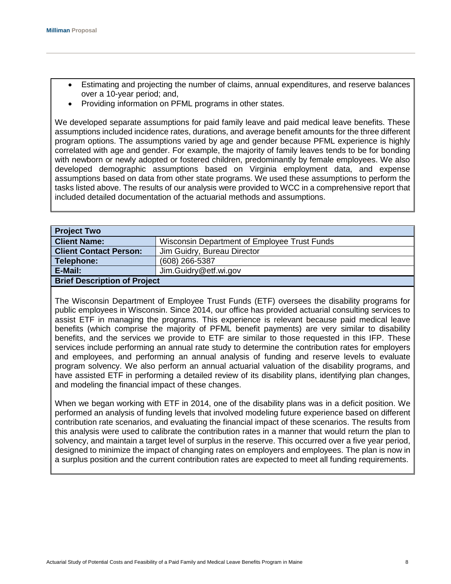- Estimating and projecting the number of claims, annual expenditures, and reserve balances over a 10-year period; and,
- Providing information on PFML programs in other states.

We developed separate assumptions for paid family leave and paid medical leave benefits. These assumptions included incidence rates, durations, and average benefit amounts for the three different program options. The assumptions varied by age and gender because PFML experience is highly correlated with age and gender. For example, the majority of family leaves tends to be for bonding with newborn or newly adopted or fostered children, predominantly by female employees. We also developed demographic assumptions based on Virginia employment data, and expense assumptions based on data from other state programs. We used these assumptions to perform the tasks listed above. The results of our analysis were provided to WCC in a comprehensive report that included detailed documentation of the actuarial methods and assumptions.

| <b>Project Two</b>                                           |                                              |  |
|--------------------------------------------------------------|----------------------------------------------|--|
| <b>Client Name:</b>                                          | Wisconsin Department of Employee Trust Funds |  |
| <b>Client Contact Person:</b><br>Jim Guidry, Bureau Director |                                              |  |
| Telephone:<br>(608) 266-5387                                 |                                              |  |
| E-Mail:<br>Jim.Guidry@etf.wi.gov                             |                                              |  |
| <b>Brief Description of Project</b>                          |                                              |  |
|                                                              |                                              |  |

The Wisconsin Department of Employee Trust Funds (ETF) oversees the disability programs for public employees in Wisconsin. Since 2014, our office has provided actuarial consulting services to assist ETF in managing the programs. This experience is relevant because paid medical leave benefits (which comprise the majority of PFML benefit payments) are very similar to disability benefits, and the services we provide to ETF are similar to those requested in this IFP. These services include performing an annual rate study to determine the contribution rates for employers and employees, and performing an annual analysis of funding and reserve levels to evaluate program solvency. We also perform an annual actuarial valuation of the disability programs, and have assisted ETF in performing a detailed review of its disability plans, identifying plan changes, and modeling the financial impact of these changes.

When we began working with ETF in 2014, one of the disability plans was in a deficit position. We performed an analysis of funding levels that involved modeling future experience based on different contribution rate scenarios, and evaluating the financial impact of these scenarios. The results from this analysis were used to calibrate the contribution rates in a manner that would return the plan to solvency, and maintain a target level of surplus in the reserve. This occurred over a five year period, designed to minimize the impact of changing rates on employers and employees. The plan is now in a surplus position and the current contribution rates are expected to meet all funding requirements.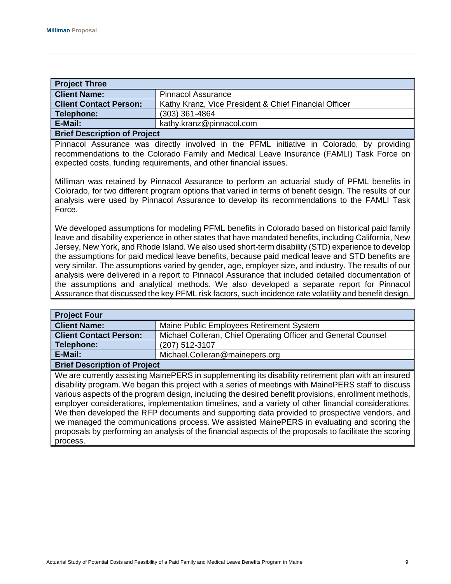| <b>Project Three</b>                   |                                                       |  |
|----------------------------------------|-------------------------------------------------------|--|
| <b>Client Name:</b>                    | <b>Pinnacol Assurance</b>                             |  |
| <b>Client Contact Person:</b>          | Kathy Kranz, Vice President & Chief Financial Officer |  |
| Telephone:                             | $(303)$ 361-4864                                      |  |
| E-Mail:                                | kathy.kranz@pinnacol.com                              |  |
| <b>Dulof Department on of Duple of</b> |                                                       |  |

## **Brief Description of Project** Pinnacol Assurance was directly involved in the PFML initiative in Colorado, by providing

recommendations to the Colorado Family and Medical Leave Insurance (FAMLI) Task Force on expected costs, funding requirements, and other financial issues.

Milliman was retained by Pinnacol Assurance to perform an actuarial study of PFML benefits in Colorado, for two different program options that varied in terms of benefit design. The results of our analysis were used by Pinnacol Assurance to develop its recommendations to the FAMLI Task Force.

We developed assumptions for modeling PFML benefits in Colorado based on historical paid family leave and disability experience in other states that have mandated benefits, including California, New Jersey, New York, and Rhode Island. We also used short-term disability (STD) experience to develop the assumptions for paid medical leave benefits, because paid medical leave and STD benefits are very similar. The assumptions varied by gender, age, employer size, and industry. The results of our analysis were delivered in a report to Pinnacol Assurance that included detailed documentation of the assumptions and analytical methods. We also developed a separate report for Pinnacol Assurance that discussed the key PFML risk factors, such incidence rate volatility and benefit design.

| <b>Project Four</b>                       |                                                               |  |  |
|-------------------------------------------|---------------------------------------------------------------|--|--|
| <b>Client Name:</b>                       | Maine Public Employees Retirement System                      |  |  |
| <b>Client Contact Person:</b>             | Michael Colleran, Chief Operating Officer and General Counsel |  |  |
| Telephone:                                | (207) 512-3107                                                |  |  |
| E-Mail:<br>Michael.Colleran@mainepers.org |                                                               |  |  |
| <b>Brief Description of Project</b>       |                                                               |  |  |

We are currently assisting MainePERS in supplementing its disability retirement plan with an insured disability program. We began this project with a series of meetings with MainePERS staff to discuss various aspects of the program design, including the desired benefit provisions, enrollment methods, employer considerations, implementation timelines, and a variety of other financial considerations. We then developed the RFP documents and supporting data provided to prospective vendors, and we managed the communications process. We assisted MainePERS in evaluating and scoring the proposals by performing an analysis of the financial aspects of the proposals to facilitate the scoring process.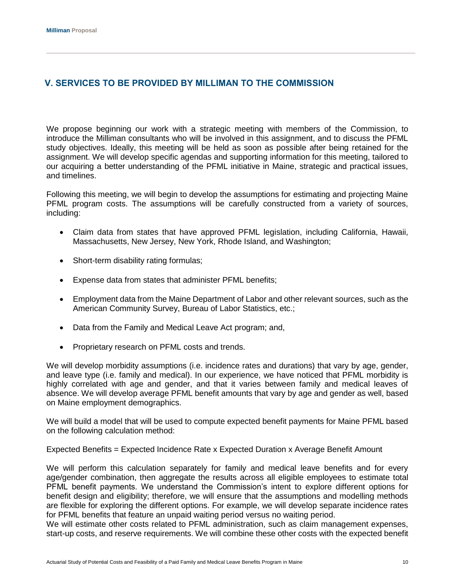## <span id="page-11-0"></span>**V. SERVICES TO BE PROVIDED BY MILLIMAN TO THE COMMISSION**

We propose beginning our work with a strategic meeting with members of the Commission, to introduce the Milliman consultants who will be involved in this assignment, and to discuss the PFML study objectives. Ideally, this meeting will be held as soon as possible after being retained for the assignment. We will develop specific agendas and supporting information for this meeting, tailored to our acquiring a better understanding of the PFML initiative in Maine, strategic and practical issues, and timelines.

Following this meeting, we will begin to develop the assumptions for estimating and projecting Maine PFML program costs. The assumptions will be carefully constructed from a variety of sources, including:

- Claim data from states that have approved PFML legislation, including California, Hawaii, Massachusetts, New Jersey, New York, Rhode Island, and Washington;
- Short-term disability rating formulas;
- Expense data from states that administer PFML benefits;
- Employment data from the Maine Department of Labor and other relevant sources, such as the American Community Survey, Bureau of Labor Statistics, etc.;
- Data from the Family and Medical Leave Act program; and,
- Proprietary research on PFML costs and trends.

We will develop morbidity assumptions (i.e. incidence rates and durations) that vary by age, gender, and leave type (i.e. family and medical). In our experience, we have noticed that PFML morbidity is highly correlated with age and gender, and that it varies between family and medical leaves of absence. We will develop average PFML benefit amounts that vary by age and gender as well, based on Maine employment demographics.

We will build a model that will be used to compute expected benefit payments for Maine PFML based on the following calculation method:

Expected Benefits = Expected Incidence Rate x Expected Duration x Average Benefit Amount

We will perform this calculation separately for family and medical leave benefits and for every age/gender combination, then aggregate the results across all eligible employees to estimate total PFML benefit payments. We understand the Commission's intent to explore different options for benefit design and eligibility; therefore, we will ensure that the assumptions and modelling methods are flexible for exploring the different options. For example, we will develop separate incidence rates for PFML benefits that feature an unpaid waiting period versus no waiting period.

We will estimate other costs related to PFML administration, such as claim management expenses, start-up costs, and reserve requirements. We will combine these other costs with the expected benefit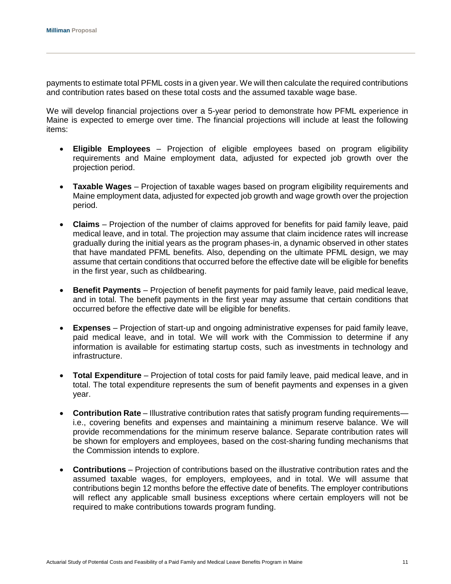payments to estimate total PFML costs in a given year. We will then calculate the required contributions and contribution rates based on these total costs and the assumed taxable wage base.

We will develop financial projections over a 5-year period to demonstrate how PFML experience in Maine is expected to emerge over time. The financial projections will include at least the following items:

- **Eligible Employees** Projection of eligible employees based on program eligibility requirements and Maine employment data, adjusted for expected job growth over the projection period.
- **Taxable Wages** Projection of taxable wages based on program eligibility requirements and Maine employment data, adjusted for expected job growth and wage growth over the projection period.
- **Claims** Projection of the number of claims approved for benefits for paid family leave, paid medical leave, and in total. The projection may assume that claim incidence rates will increase gradually during the initial years as the program phases-in, a dynamic observed in other states that have mandated PFML benefits. Also, depending on the ultimate PFML design, we may assume that certain conditions that occurred before the effective date will be eligible for benefits in the first year, such as childbearing.
- **Benefit Payments**  Projection of benefit payments for paid family leave, paid medical leave, and in total. The benefit payments in the first year may assume that certain conditions that occurred before the effective date will be eligible for benefits.
- **Expenses**  Projection of start-up and ongoing administrative expenses for paid family leave, paid medical leave, and in total. We will work with the Commission to determine if any information is available for estimating startup costs, such as investments in technology and infrastructure.
- **Total Expenditure**  Projection of total costs for paid family leave, paid medical leave, and in total. The total expenditure represents the sum of benefit payments and expenses in a given year.
- **Contribution Rate** Illustrative contribution rates that satisfy program funding requirements i.e., covering benefits and expenses and maintaining a minimum reserve balance. We will provide recommendations for the minimum reserve balance. Separate contribution rates will be shown for employers and employees, based on the cost-sharing funding mechanisms that the Commission intends to explore.
- **Contributions** Projection of contributions based on the illustrative contribution rates and the assumed taxable wages, for employers, employees, and in total. We will assume that contributions begin 12 months before the effective date of benefits. The employer contributions will reflect any applicable small business exceptions where certain employers will not be required to make contributions towards program funding.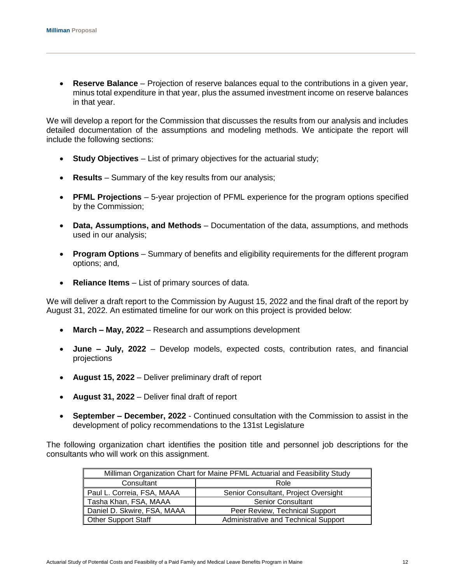**Reserve Balance** – Projection of reserve balances equal to the contributions in a given year, minus total expenditure in that year, plus the assumed investment income on reserve balances in that year.

We will develop a report for the Commission that discusses the results from our analysis and includes detailed documentation of the assumptions and modeling methods. We anticipate the report will include the following sections:

- **Study Objectives** List of primary objectives for the actuarial study;
- **Results** Summary of the key results from our analysis;
- **PFML Projections** 5-year projection of PFML experience for the program options specified by the Commission;
- **Data, Assumptions, and Methods** Documentation of the data, assumptions, and methods used in our analysis;
- **Program Options** Summary of benefits and eligibility requirements for the different program options; and,
- **Reliance Items** List of primary sources of data.

We will deliver a draft report to the Commission by August 15, 2022 and the final draft of the report by August 31, 2022. An estimated timeline for our work on this project is provided below:

- **March – May, 2022** Research and assumptions development
- **June – July, 2022** Develop models, expected costs, contribution rates, and financial projections
- **August 15, 2022** Deliver preliminary draft of report
- **August 31, 2022** Deliver final draft of report
- **September – December, 2022** Continued consultation with the Commission to assist in the development of policy recommendations to the 131st Legislature

The following organization chart identifies the position title and personnel job descriptions for the consultants who will work on this assignment.

| Milliman Organization Chart for Maine PFML Actuarial and Feasibility Study |                                      |  |  |
|----------------------------------------------------------------------------|--------------------------------------|--|--|
| Consultant<br>Role                                                         |                                      |  |  |
| Paul L. Correia, FSA, MAAA                                                 | Senior Consultant, Project Oversight |  |  |
| Tasha Khan, FSA, MAAA                                                      | <b>Senior Consultant</b>             |  |  |
| Daniel D. Skwire, FSA, MAAA                                                | Peer Review, Technical Support       |  |  |
| <b>Other Support Staff</b>                                                 | Administrative and Technical Support |  |  |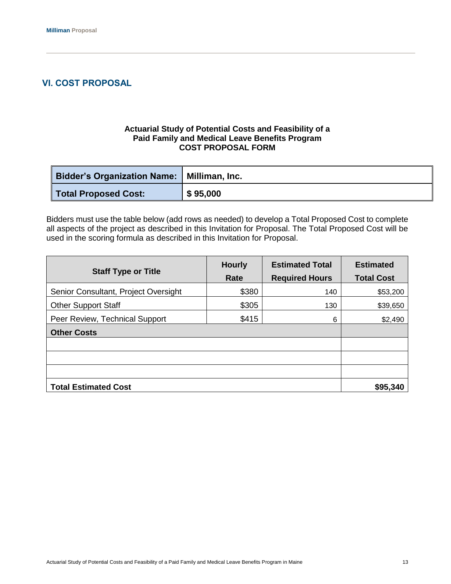## <span id="page-14-0"></span>**VI. COST PROPOSAL**

#### **Actuarial Study of Potential Costs and Feasibility of a Paid Family and Medical Leave Benefits Program COST PROPOSAL FORM**

| <b>Bidder's Organization Name:   Milliman, Inc.</b> |          |
|-----------------------------------------------------|----------|
| <b>Total Proposed Cost:</b>                         | \$95,000 |

Bidders must use the table below (add rows as needed) to develop a Total Proposed Cost to complete all aspects of the project as described in this Invitation for Proposal. The Total Proposed Cost will be used in the scoring formula as described in this Invitation for Proposal.

| <b>Staff Type or Title</b>           | <b>Hourly</b> | <b>Estimated Total</b> | <b>Estimated</b>  |
|--------------------------------------|---------------|------------------------|-------------------|
|                                      | Rate          | <b>Required Hours</b>  | <b>Total Cost</b> |
| Senior Consultant, Project Oversight | \$380         | 140                    | \$53,200          |
| <b>Other Support Staff</b>           | \$305         | 130                    | \$39,650          |
| Peer Review, Technical Support       | \$415         | 6                      | \$2,490           |
| <b>Other Costs</b>                   |               |                        |                   |
|                                      |               |                        |                   |
|                                      |               |                        |                   |
|                                      |               |                        |                   |
| <b>Total Estimated Cost</b>          |               |                        | \$95,340          |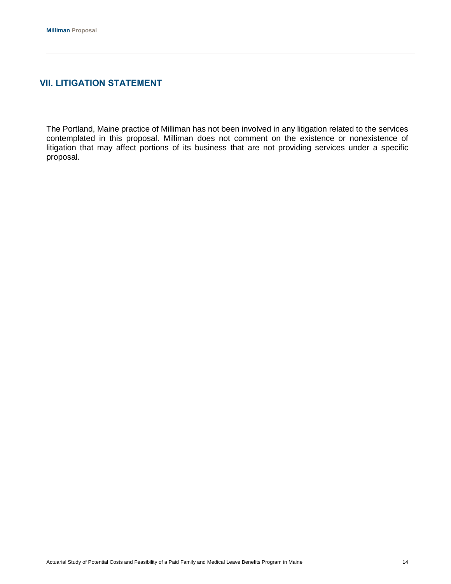#### <span id="page-15-0"></span>**VII. LITIGATION STATEMENT**

The Portland, Maine practice of Milliman has not been involved in any litigation related to the services contemplated in this proposal. Milliman does not comment on the existence or nonexistence of litigation that may affect portions of its business that are not providing services under a specific proposal.